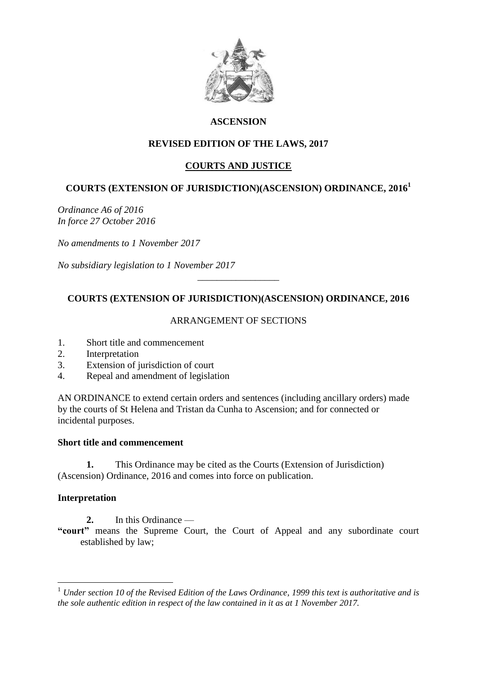

## **ASCENSION**

# **REVISED EDITION OF THE LAWS, 2017**

## **COURTS AND JUSTICE**

## **COURTS (EXTENSION OF JURISDICTION)(ASCENSION) ORDINANCE, 2016<sup>1</sup>**

*Ordinance A6 of 2016 In force 27 October 2016*

*No amendments to 1 November 2017*

*No subsidiary legislation to 1 November 2017*

### **COURTS (EXTENSION OF JURISDICTION)(ASCENSION) ORDINANCE, 2016**

\_\_\_\_\_\_\_\_\_\_\_\_\_\_\_\_\_

### ARRANGEMENT OF SECTIONS

- 1. Short title and commencement
- 2. Interpretation
- 3. Extension of jurisdiction of court
- 4. Repeal and amendment of legislation

AN ORDINANCE to extend certain orders and sentences (including ancillary orders) made by the courts of St Helena and Tristan da Cunha to Ascension; and for connected or incidental purposes.

#### **Short title and commencement**

**1.** This Ordinance may be cited as the Courts (Extension of Jurisdiction) (Ascension) Ordinance, 2016 and comes into force on publication.

### **Interpretation**

1

- **2.** In this Ordinance —
- **"court"** means the Supreme Court, the Court of Appeal and any subordinate court established by law;

<sup>1</sup> *Under section 10 of the Revised Edition of the Laws Ordinance, 1999 this text is authoritative and is the sole authentic edition in respect of the law contained in it as at 1 November 2017.*